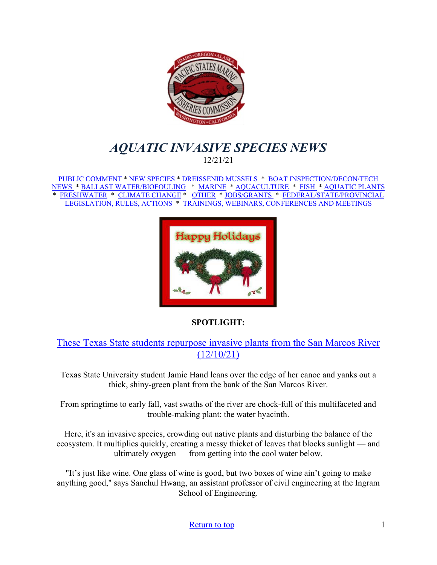<span id="page-0-0"></span>

# *AQUATIC INVASIVE SPECIES NEWS* 12/21/21

[PUBLIC COMMENT](#page-1-0) \* [NEW SPECIES](#page-1-1) \* [DREISSENID MUSSELS](#page-2-0) \* [BOAT INSPECTION/DECON/TECH](#page-2-1)  [NEWS](#page-2-1) [\\* BALLAST WATER/BIOFOULING](#page-3-0) \* [MARINE](#page-3-1) \* [AQUACULTURE](#page-3-2) \* [FISH](#page-5-0) \* [AQUATIC PLANTS](#page-5-1)  \* [FRESHWATER](#page-6-0) \* [CLIMATE CHANGE](#page-6-1) \* [OTHER](#page-7-0) \* [JOBS/GRANTS](#page-9-0) \* [FEDERAL/STATE/PROVINCIAL](#page-14-0)  [LEGISLATION, RULES, ACTIONS](#page-14-0) \* [TRAININGS, WEBINARS, CONFERENCES AND MEETINGS](#page-17-0) 



## **SPOTLIGHT:**

# These Texas State students repurpose [invasive plants from the San Marcos River](https://www.keranews.org/texas-news/2021-12-10/these-texas-state-students-are-turning-invasive-plants-from-the-san-marcos-river-into-menstrual-pads)  [\(12/10/21\)](https://www.keranews.org/texas-news/2021-12-10/these-texas-state-students-are-turning-invasive-plants-from-the-san-marcos-river-into-menstrual-pads)

Texas State University student Jamie Hand leans over the edge of her canoe and yanks out a thick, shiny-green plant from the bank of the San Marcos River.

From springtime to early fall, vast swaths of the river are chock-full of this multifaceted and trouble-making plant: the water hyacinth.

Here, it's an invasive species, crowding out native plants and disturbing the balance of the ecosystem. It multiplies quickly, creating a messy thicket of leaves that blocks sunlight — and ultimately oxygen — from getting into the cool water below.

"It's just like wine. One glass of wine is good, but two boxes of wine ain't going to make anything good," says Sanchul Hwang, an assistant professor of civil engineering at the Ingram School of Engineering.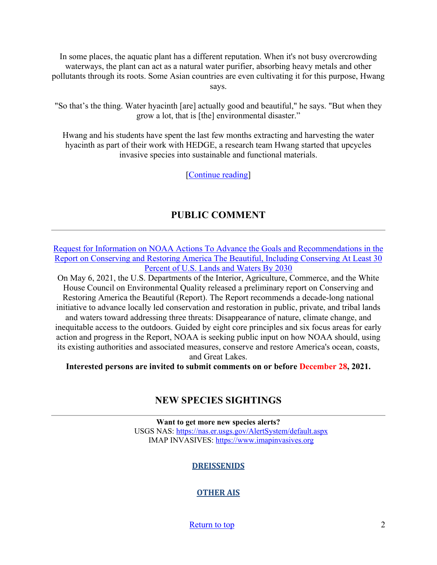In some places, the aquatic plant has a different reputation. When it's not busy overcrowding waterways, the plant can act as a natural water purifier, absorbing heavy metals and other pollutants through its roots. Some Asian countries are even cultivating it for this purpose, Hwang says.

"So that's the thing. Water hyacinth [are] actually good and beautiful," he says. "But when they grow a lot, that is [the] environmental disaster."

Hwang and his students have spent the last few months extracting and harvesting the water hyacinth as part of their work with HEDGE, a research team Hwang started that upcycles invasive species into sustainable and functional materials.

[\[Continue reading\]](https://www.keranews.org/texas-news/2021-12-10/these-texas-state-students-are-turning-invasive-plants-from-the-san-marcos-river-into-menstrual-pads)

# **PUBLIC COMMENT**

<span id="page-1-0"></span>[Request for Information on NOAA Actions To Advance the Goals and Recommendations in the](https://www.federalregister.gov/documents/2021/10/29/2021-23590/request-for-information-on-noaa-actions-to-advance-the-goals-and-recommendations-in-the-report-on)  [Report on Conserving and Restoring America The Beautiful, Including Conserving At Least 30](https://www.federalregister.gov/documents/2021/10/29/2021-23590/request-for-information-on-noaa-actions-to-advance-the-goals-and-recommendations-in-the-report-on)  [Percent of U.S. Lands and Waters By 2030](https://www.federalregister.gov/documents/2021/10/29/2021-23590/request-for-information-on-noaa-actions-to-advance-the-goals-and-recommendations-in-the-report-on)

On May 6, 2021, the U.S. Departments of the Interior, Agriculture, Commerce, and the White House Council on Environmental Quality released a preliminary report on Conserving and Restoring America the Beautiful (Report). The Report recommends a decade-long national initiative to advance locally led conservation and restoration in public, private, and tribal lands and waters toward addressing three threats: Disappearance of nature, climate change, and inequitable access to the outdoors. Guided by eight core principles and six focus areas for early action and progress in the Report, NOAA is seeking public input on how NOAA should, using its existing authorities and associated measures, conserve and restore America's ocean, coasts, and Great Lakes.

<span id="page-1-1"></span>**Interested persons are invited to submit comments on or before December 28, 2021.** 

# **NEW SPECIES SIGHTINGS**

**Want to get more new species alerts?** USGS NAS:<https://nas.er.usgs.gov/AlertSystem/default.aspx> IMAP INVASIVES: [https://www.imapinvasives.org](https://www.imapinvasives.org/)

## **DREISSENIDS**

## **OTHER AIS**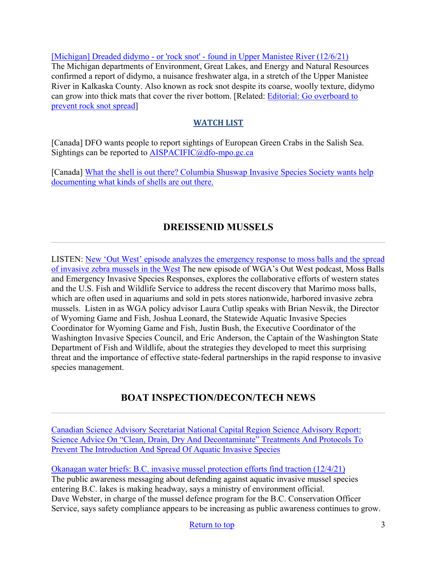[\[Michigan\] Dreaded didymo - or 'rock snot' - found in Upper Manistee River \(12/6/21\)](https://www.michigan.gov/dnr/0,4570,7-350-86469-573481--,00.html) The Michigan departments of Environment, Great Lakes, and Energy and Natural Resources confirmed a report of didymo, a nuisance freshwater alga, in a stretch of the Upper Manistee River in Kalkaska County. Also known as rock snot despite its coarse, woolly texture, didymo can grow into thick mats that cover the river bottom. [Related: [Editorial: Go overboard to](https://www.record-eagle.com/opinion/editorial-go-overboard-to-prevent-rock-snot-spread/article_dbd758de-5914-11ec-9a4f-af4a573f7080.html)  [prevent rock snot spread\]](https://www.record-eagle.com/opinion/editorial-go-overboard-to-prevent-rock-snot-spread/article_dbd758de-5914-11ec-9a4f-af4a573f7080.html)

# **WATCH LIST**

[Canada] DFO wants people to report sightings of European Green Crabs in the Salish Sea. Sightings can be reported to [AISPACIFIC@dfo-mpo.gc.ca](mailto:AISPACIFIC@dfo-mpo.gc.ca)

[Canada] What the shell is out there? Columbia Shuswap Invasive Species Society wants help [documenting what kinds of shells are out there.](https://www.castanet.net/news/Salmon-Arm/344047/Columbia-Shuswap-Invasive-Species-Society-wants-help-documenting-what-kinds-of-shells-are-out-there) 

# **DREISSENID MUSSELS**

<span id="page-2-0"></span>LISTEN: [New 'Out West' episode analyzes the emergency response to moss balls and the spread](https://westgov.org/news/article/listen-new-out-west-episode-analyzes-the-emergency-response-to-moss-balls-and-the-spread-of-invasive-zebra-mussels-in-the-west?utm_medium=email&utm_source=govdelivery)  [of invasive zebra mussels in the West](https://westgov.org/news/article/listen-new-out-west-episode-analyzes-the-emergency-response-to-moss-balls-and-the-spread-of-invasive-zebra-mussels-in-the-west?utm_medium=email&utm_source=govdelivery) The new episode of WGA's Out West podcast, Moss Balls and Emergency Invasive Species Responses, explores the collaborative efforts of western states and the U.S. Fish and Wildlife Service to address the recent discovery that Marimo moss balls, which are often used in aquariums and sold in pets stores nationwide, harbored invasive zebra mussels. Listen in as WGA policy advisor Laura Cutlip speaks with Brian Nesvik, the Director of Wyoming Game and Fish, Joshua Leonard, the Statewide Aquatic Invasive Species Coordinator for Wyoming Game and Fish, Justin Bush, the Executive Coordinator of the Washington Invasive Species Council, and Eric Anderson, the Captain of the Washington State Department of Fish and Wildlife, about the strategies they developed to meet this surprising threat and the importance of effective state-federal partnerships in the rapid response to invasive species management.

# **BOAT INSPECTION/DECON/TECH NEWS**

<span id="page-2-1"></span>[Canadian Science Advisory Secretariat National Capital Region Science Advisory Report:](https://www.dfo-mpo.gc.ca/csas-sccs/Publications/SAR-AS/2021/2021_043-eng.pdf?utm_medium=email&utm_source=govdelivery)  Science Advice On "Clean, Drain, Dry And Decontaminate" Treatments And Protocols To [Prevent The Introduction And Spread Of Aquatic Invasive Species](https://www.dfo-mpo.gc.ca/csas-sccs/Publications/SAR-AS/2021/2021_043-eng.pdf?utm_medium=email&utm_source=govdelivery)

[Okanagan water briefs: B.C. invasive mussel protection efforts find traction \(12/4/21\)](https://www.summerlandreview.com/news/okanagan-water-briefs-b-c-invasive-mussel-protection-efforts-find-traction/) The public awareness messaging about defending against aquatic invasive mussel species entering B.C. lakes is making headway, says a ministry of environment official. Dave Webster, in charge of the mussel defence program for the B.C. Conservation Officer Service, says safety compliance appears to be increasing as public awareness continues to grow.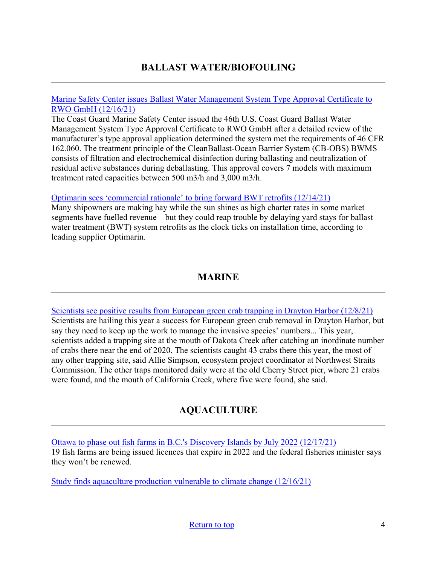# **BALLAST WATER/BIOFOULING**

### <span id="page-3-0"></span>[Marine Safety Center issues Ballast Water Management System Type Approval Certificate to](https://mariners.coastguard.blog/2021/12/16/marine-safety-center-issues-ballast-water-management-system-type-approval-certificate-to-rwo-gmbh/?utm_source=feedburner&utm_medium=email)  [RWO GmbH \(12/16/21\)](https://mariners.coastguard.blog/2021/12/16/marine-safety-center-issues-ballast-water-management-system-type-approval-certificate-to-rwo-gmbh/?utm_source=feedburner&utm_medium=email)

The Coast Guard Marine Safety Center issued the 46th U.S. Coast Guard Ballast Water Management System Type Approval Certificate to RWO GmbH after a detailed review of the manufacturer's type approval application determined the system met the requirements of 46 CFR 162.060. The treatment principle of the CleanBallast-Ocean Barrier System (CB-OBS) BWMS consists of filtration and electrochemical disinfection during ballasting and neutralization of residual active substances during deballasting. This approval covers 7 models with maximum treatment rated capacities between 500 m3/h and 3,000 m3/h.

## [Optimarin sees 'commercial rationale' to bring forward BWT retrofits \(12/14/21\)](https://www.hellenicshippingnews.com/optimarin-sees-commercial-rationale-to-bring-forward-bwt-retrofits/)

Many shipowners are making hay while the sun shines as high charter rates in some market segments have fuelled revenue – but they could reap trouble by delaying yard stays for ballast water treatment (BWT) system retrofits as the clock ticks on installation time, according to leading supplier Optimarin.

# **MARINE**

<span id="page-3-1"></span>[Scientists see positive results from European green crab trapping in Drayton Harbor \(12/8/21\)](https://www.thenorthernlight.com/stories/scientists-see-positive-results-from-european-green-crab-trapping-in-drayton-harbor,18525) Scientists are hailing this year a success for European green crab removal in Drayton Harbor, but say they need to keep up the work to manage the invasive species' numbers... This year, scientists added a trapping site at the mouth of Dakota Creek after catching an inordinate number of crabs there near the end of 2020. The scientists caught 43 crabs there this year, the most of any other trapping site, said Allie Simpson, ecosystem project coordinator at Northwest Straits Commission. The other traps monitored daily were at the old Cherry Street pier, where 21 crabs were found, and the mouth of California Creek, where five were found, she said.

# **AQUACULTURE**

<span id="page-3-2"></span>[Ottawa to phase out fish farms in B.C.'s Discovery Islands by July 2022 \(12/17/21\)](https://vancouversun.com/news/local-news/ottawa-to-phase-out-fish-farms-in-b-c-s-discovery-islands-by-july-2022) 19 fish farms are being issued licences that expire in 2022 and the federal fisheries minister says they won't be renewed.

[Study finds aquaculture production vulnerable to climate change \(12/16/21\)](https://www.seafoodsource.com/news/aquaculture/study-finds-aquaculture-production-vulnerable-to-climate-change)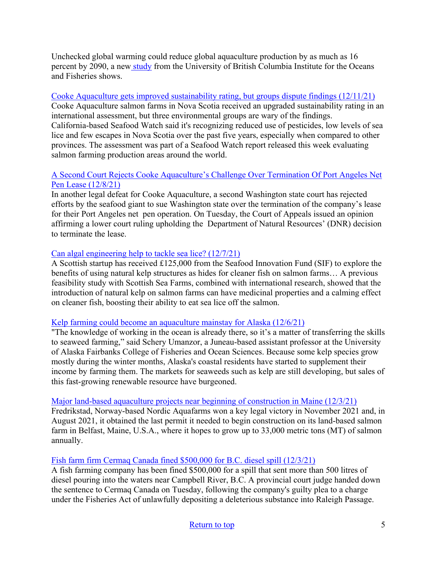Unchecked global warming could reduce global aquaculture production by as much as 16 percent by 2090, a ne[w study](https://onlinelibrary.wiley.com/doi/abs/10.1111/gcb.15991?utm_source=pique%20newsmagazine&utm_campaign=pique%20newsmagazine%3A%20outbound&utm_medium=referral) from the University of British Columbia Institute for the Oceans and Fisheries shows.

# [Cooke Aquaculture gets improved sustainability rating, but groups dispute findings \(12/11/21\)](https://www.cbc.ca/news/canada/nova-scotia/cooke-aquaculture-gets-improved-sustainability-rating-1.6282059)

Cooke Aquaculture salmon farms in Nova Scotia received an upgraded sustainability rating in an international assessment, but three environmental groups are wary of the findings. California-based Seafood Watch said it's recognizing reduced use of pesticides, low levels of sea lice and few escapes in Nova Scotia over the past five years, especially when compared to other provinces. The assessment was part of a Seafood Watch report released this week evaluating salmon farming production areas around the world.

# [A Second Court Rejects Cooke Aquaculture's Challenge Over Termination Of Port Angeles Net](https://sanjuanislander.com/news-articles/government-news/state/33699/a-second-court-rejects-cooke-aquaculture-s-challenge-over-termination-of-port-angeles-net-pen-lease)  [Pen Lease \(12/8/21\)](https://sanjuanislander.com/news-articles/government-news/state/33699/a-second-court-rejects-cooke-aquaculture-s-challenge-over-termination-of-port-angeles-net-pen-lease)

In another legal defeat for Cooke Aquaculture, a second Washington state court has rejected efforts by the seafood giant to sue Washington state over the termination of the company's lease for their Port Angeles net pen operation. On Tuesday, the Court of Appeals issued an opinion affirming a lower court ruling upholding the Department of Natural Resources' (DNR) decision to terminate the lease.

# [Can algal engineering help to tackle sea lice? \(12/7/21\)](https://thefishsite.com/articles/can-algal-engineering-help-to-tackle-sea-lice)

A Scottish startup has received £125,000 from the Seafood Innovation Fund (SIF) to explore the benefits of using natural kelp structures as hides for cleaner fish on salmon farms… A previous feasibility study with Scottish Sea Farms, combined with international research, showed that the introduction of natural kelp on salmon farms can have medicinal properties and a calming effect on cleaner fish, boosting their ability to eat sea lice off the salmon.

## [Kelp farming could become an aquaculture mainstay for Alaska \(12/6/21\)](https://thefishsite.com/articles/kelp-farming-could-become-an-aquaculture-mainstay-for-alaska)

"The knowledge of working in the ocean is already there, so it's a matter of transferring the skills to seaweed farming," said Schery Umanzor, a Juneau-based assistant professor at the University of Alaska Fairbanks College of Fisheries and Ocean Sciences. Because some kelp species grow mostly during the winter months, Alaska's coastal residents have started to supplement their income by farming them. The markets for seaweeds such as kelp are still developing, but sales of this fast-growing renewable resource have burgeoned.

## [Major land-based aquaculture projects near beginning of construction in Maine \(12/3/21\)](https://www.seafoodsource.com/news/aquaculture/major-land-based-aquaculture-projects-near-beginning-of-construction-in-maine)

Fredrikstad, Norway-based Nordic Aquafarms won a key legal victory in November 2021 and, in August 2021, it obtained the last permit it needed to begin construction on its land-based salmon farm in Belfast, Maine, U.S.A., where it hopes to grow up to 33,000 metric tons (MT) of salmon annually.

## [Fish farm firm Cermaq Canada fined \\$500,000 for B.C. diesel spill \(12/3/21\)](https://www.cbc.ca/news/canada/british-columbia/fish-farm-firm-cermaq-canada-fined-500-000-for-b-c-diesel-spill-1.6271706)

A fish farming company has been fined \$500,000 for a spill that sent more than 500 litres of diesel pouring into the waters near Campbell River, B.C. A provincial court judge handed down the sentence to Cermaq Canada on Tuesday, following the company's guilty plea to a charge under the Fisheries Act of unlawfully depositing a deleterious substance into Raleigh Passage.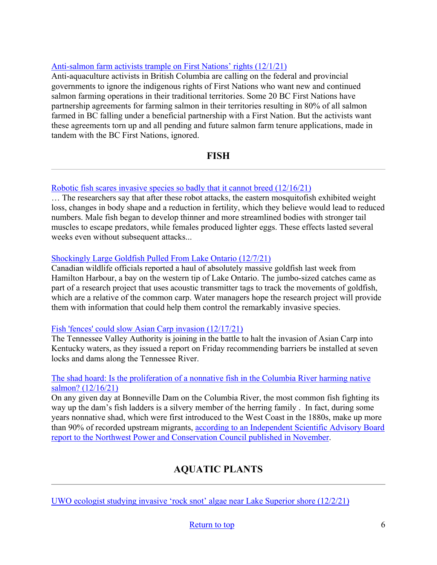# [Anti-salmon farm activists trample on First Nations' rights \(12/1/21\)](https://seawestnews.com/anti-salmon-farm-activists-trample-on-first-nations-rights/)

Anti-aquaculture activists in British Columbia are calling on the federal and provincial governments to ignore the indigenous rights of First Nations who want new and continued salmon farming operations in their traditional territories. Some 20 BC First Nations have partnership agreements for farming salmon in their territories resulting in 80% of all salmon farmed in BC falling under a beneficial partnership with a First Nation. But the activists want these agreements torn up and all pending and future salmon farm tenure applications, made in tandem with the BC First Nations, ignored.

# **FISH**

### <span id="page-5-0"></span>[Robotic fish scares invasive species so badly that it cannot breed \(12/16/21\)](https://www.newscientist.com/article/2301562-robotic-fish-scares-invasive-species-so-badly-that-it-cannot-breed/#ixzz7FdIrOGpG)

… The researchers say that after these robot attacks, the eastern mosquitofish exhibited weight loss, changes in body shape and a reduction in fertility, which they believe would lead to reduced numbers. Male fish began to develop thinner and more streamlined bodies with stronger tail muscles to escape predators, while females produced lighter eggs. These effects lasted several weeks even without subsequent attacks...

### [Shockingly Large Goldfish Pulled From Lake Ontario \(12/7/21\)](https://www.fieldandstream.com/fishing/arge-goldfish-removed-lake-ontario/)

Canadian wildlife officials reported a haul of absolutely massive goldfish last week from Hamilton Harbour, a bay on the western tip of Lake Ontario. The jumbo-sized catches came as part of a research project that uses acoustic transmitter tags to track the movements of goldfish, which are a relative of the common carp. Water managers hope the research project will provide them with information that could help them control the remarkably invasive species.

### [Fish 'fences' could slow Asian Carp invasion \(12/17/21\)](https://www.kentuckytoday.com/news/fish-fences-could-slow-asian-carp-invasion/article_600c3a7a-5faa-11ec-ba38-97bfcdc93661.html?utm_medium=email&utm_source=govdelivery)

The Tennessee Valley Authority is joining in the battle to halt the invasion of Asian Carp into Kentucky waters, as they issued a report on Friday recommending barriers be installed at seven locks and dams along the Tennessee River.

### [The shad hoard: Is the proliferation of a nonnative fish in the Columbia River harming native](https://www.spokesman.com/stories/2021/dec/16/the-shad-hoard-is-the-proliferation-of-a-nonnative/)  [salmon? \(12/16/21\)](https://www.spokesman.com/stories/2021/dec/16/the-shad-hoard-is-the-proliferation-of-a-nonnative/)

On any given day at Bonneville Dam on the Columbia River, the most common fish fighting its way up the dam's fish ladders is a silvery member of the herring family . In fact, during some years nonnative shad, which were first introduced to the West Coast in the 1880s, make up more than 90% of recorded upstream migrants, according to an Independent Scientific Advisory Board [report to the Northwest Power and Conservation Council published in November.](https://www.nwcouncil.org/news/will-shad-become-northwest-s-premier-fish)

# **AQUATIC PLANTS**

<span id="page-5-1"></span>[UWO ecologist studying invasive 'rock snot' algae near Lake Superior shore \(12/2/21\)](https://uwosh.edu/today/101342/uwo-ecologist-studying-invasive-rock-snot-algae-near-lake-superior-shore/)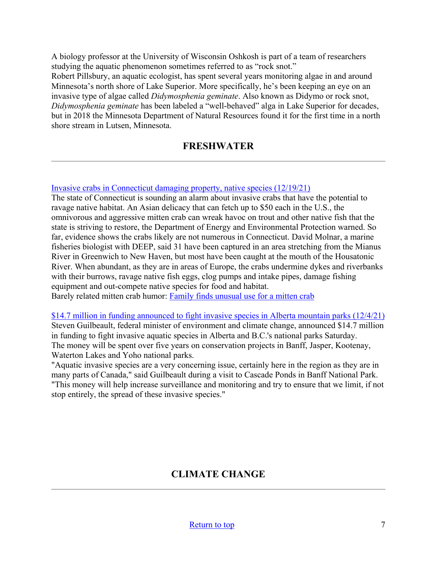A biology professor at the University of Wisconsin Oshkosh is part of a team of researchers studying the aquatic phenomenon sometimes referred to as "rock snot."

Robert Pillsbury, an aquatic ecologist, has spent several years monitoring algae in and around Minnesota's north shore of Lake Superior. More specifically, he's been keeping an eye on an invasive type of algae called *Didymosphenia geminate*. Also known as Didymo or rock snot, *Didymosphenia geminate* has been labeled a "well-behaved" alga in Lake Superior for decades, but in 2018 the Minnesota Department of Natural Resources found it for the first time in a north shore stream in Lutsen, Minnesota.

# **FRESHWATER**

<span id="page-6-0"></span>[Invasive crabs in Connecticut damaging property, native species \(12/19/21\)](https://www.courant.com/news/connecticut/hc-news-ct-invasive-crabs-20211220-gxysux3berbohblxzufgwnkaxy-story.html)

The state of Connecticut is sounding an alarm about invasive crabs that have the potential to ravage native habitat. An Asian delicacy that can fetch up to \$50 each in the U.S., the omnivorous and aggressive mitten crab can wreak havoc on trout and other native fish that the state is striving to restore, the Department of Energy and Environmental Protection warned. So far, evidence shows the crabs likely are not numerous in Connecticut. David Molnar, a marine fisheries biologist with DEEP, said 31 have been captured in an area stretching from the Mianus River in Greenwich to New Haven, but most have been caught at the mouth of the Housatonic River. When abundant, as they are in areas of Europe, the crabs undermine dykes and riverbanks with their burrows, ravage native fish eggs, clog pumps and intake pipes, damage fishing equipment and out-compete native species for food and habitat.

Barely related mitten crab humor: [Family finds unusual use for a mitten crab](https://radiichina.com/crab-rescues-t-shirt-in-mission-impossible-inspired-stunt/) 

[\\$14.7 million in funding announced to fight invasive species in Alberta mountain parks \(12/4/21\)](https://www.cbc.ca/news/canada/calgary/alberta-national-parks-invasive-species-guilbeault-1.6273831) Steven Guilbeault, federal minister of environment and climate change, announced \$14.7 million in funding to fight invasive aquatic species in Alberta and B.C.'s national parks Saturday. The money will be spent over five years on conservation projects in Banff, Jasper, Kootenay, Waterton Lakes and Yoho national parks.

<span id="page-6-1"></span>"Aquatic invasive species are a very concerning issue, certainly here in the region as they are in many parts of Canada," said Guilbeault during a visit to Cascade Ponds in Banff National Park. "This money will help increase surveillance and monitoring and try to ensure that we limit, if not stop entirely, the spread of these invasive species."

# **CLIMATE CHANGE**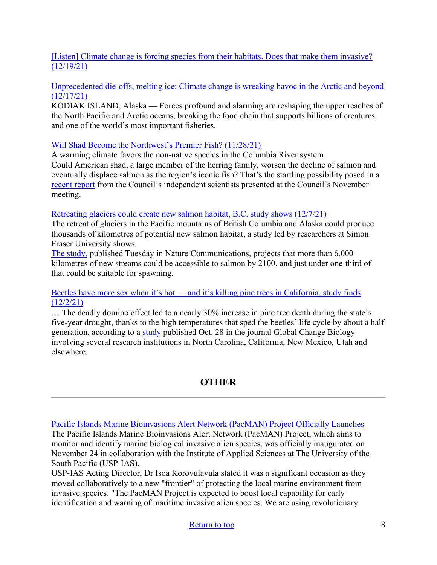# [\[Listen\] Climate change is forcing species from their habitats. Does that make them invasive?](https://www.npr.org/2021/12/19/1065626374/climate-change-is-forcing-species-from-their-habitats-does-that-make-them-invasi)  [\(12/19/21\)](https://www.npr.org/2021/12/19/1065626374/climate-change-is-forcing-species-from-their-habitats-does-that-make-them-invasi)

## [Unprecedented die-offs, melting ice: Climate change is wreaking havoc in the Arctic and beyond](https://www.latimes.com/environment/story/2021-12-17/north-pacific-arctic-ecosystem-collapse-climate-change)  [\(12/17/21\)](https://www.latimes.com/environment/story/2021-12-17/north-pacific-arctic-ecosystem-collapse-climate-change)

KODIAK ISLAND, Alaska — Forces profound and alarming are reshaping the upper reaches of the North Pacific and Arctic oceans, breaking the food chain that supports billions of creatures and one of the world's most important fisheries.

# [Will Shad Become the Northwest's Premier Fish? \(11/28/21\)](https://www.nwcouncil.org/news/will-shad-become-northwest-s-premier-fish)

A warming climate favors the non-native species in the Columbia River system Could American shad, a large member of the herring family, worsen the decline of salmon and eventually displace salmon as the region's iconic fish? That's the startling possibility posed in a [recent report](https://www.nwcouncil.org/reports/american-shad-columbia-river-past-present-future) from the Council's independent scientists presented at the Council's November meeting.

## [Retreating glaciers could create new salmon habitat, B.C. study shows \(12/7/21\)](https://www.cbc.ca/news/canada/british-columbia/glaciers-salmon-habitat-1.6276784)

The retreat of glaciers in the Pacific mountains of British Columbia and Alaska could produce thousands of kilometres of potential new salmon habitat, a study led by researchers at Simon Fraser University shows.

[The study,](https://www.nature.com/articles/s41467-021-26897-2) published Tuesday in Nature Communications, projects that more than 6,000 kilometres of new streams could be accessible to salmon by 2100, and just under one-third of that could be suitable for spawning.

## Beetles have more sex when it's hot — and it's killing pine trees in California, study finds  $(12/2/21)$

… The deadly domino effect led to a nearly 30% increase in pine tree death during the state's five-year drought, thanks to the high temperatures that sped the beetles' life cycle by about a half generation, according to a [study](https://onlinelibrary.wiley.com/doi/abs/10.1111/gcb.15927) published Oct. 28 in the journal Global Change Biology involving several research institutions in North Carolina, California, New Mexico, Utah and elsewhere.

# **OTHER**

<span id="page-7-0"></span>[Pacific Islands Marine Bioinvasions Alert Network \(PacMAN\) Project Officially Launches](https://pacman.obis.org/) The Pacific Islands Marine Bioinvasions Alert Network (PacMAN) Project, which aims to monitor and identify marine biological invasive alien species, was officially inaugurated on November 24 in collaboration with the Institute of Applied Sciences at The University of the South Pacific (USP-IAS).

USP-IAS Acting Director, Dr Isoa Korovulavula stated it was a significant occasion as they moved collaboratively to a new "frontier" of protecting the local marine environment from invasive species. "The PacMAN Project is expected to boost local capability for early identification and warning of maritime invasive alien species. We are using revolutionary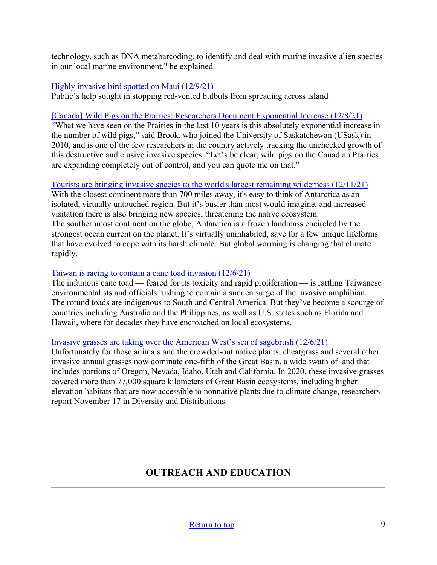technology, such as DNA metabarcoding, to identify and deal with marine invasive alien species in our local marine environment," he explained.

### [Highly invasive bird spotted on Maui \(12/9/21\)](https://www.mauinews.com/news/local-news/2021/12/highly-invasive-bird-spotted-on-maui/)

Public's help sought in stopping red-vented bulbuls from spreading across island

### [\[Canada\] Wild Pigs on the Prairies: Researchers Document Exponential Increase \(12/8/21\)](https://www.drovers.com/news/industry/wild-pigs-prairies-researchers-document-exponential-increase)

"What we have seen on the Prairies in the last 10 years is this absolutely exponential increase in the number of wild pigs," said Brook, who joined the University of Saskatchewan (USask) in 2010, and is one of the few researchers in the country actively tracking the unchecked growth of this destructive and elusive invasive species. "Let's be clear, wild pigs on the Canadian Prairies are expanding completely out of control, and you can quote me on that."

## [Tourists are bringing invasive species to the world's largest remaining wilderness \(12/11/21\)](https://thehill.com/changing-america/sustainability/environment/584688-tourists-are-bringing-invasive-species-to-the)

With the closest continent more than 700 miles away, it's easy to think of Antarctica as an isolated, virtually untouched region. But it's busier than most would imagine, and increased visitation there is also bringing new species, threatening the native ecosystem. The southernmost continent on the globe, Antarctica is a frozen landmass encircled by the strongest ocean current on the planet. It's virtually uninhabited, save for a few unique lifeforms that have evolved to cope with its harsh climate. But global warming is changing that climate rapidly.

### [Taiwan is racing to contain a cane toad invasion \(12/6/21\)](https://www.washingtonpost.com/world/2021/12/06/cane-toad-taiwan-australia-invasive/)

The infamous cane toad — feared for its toxicity and rapid proliferation — is rattling Taiwanese environmentalists and officials rushing to contain a sudden surge of the invasive amphibian. The rotund toads are indigenous to South and Central America. But they've become a scourge of countries including Australia and the Philippines, as well as U.S. states such as Florida and Hawaii, where for decades they have encroached on local ecosystems.

### [Invasive grasses are taking over the American West's sea of sagebrush \(12/6/21\)](https://www.sciencenews.org/article/invasive-grasses-spread-wildfire-plants)

Unfortunately for those animals and the crowded-out native plants, cheatgrass and several other invasive annual grasses now dominate one-fifth of the Great Basin, a wide swath of land that includes portions of Oregon, Nevada, Idaho, Utah and California. In 2020, these invasive grasses covered more than 77,000 square kilometers of Great Basin ecosystems, including higher elevation habitats that are now accessible to nonnative plants due to climate change, researchers report November 17 in Diversity and Distributions.

# **OUTREACH AND EDUCATION**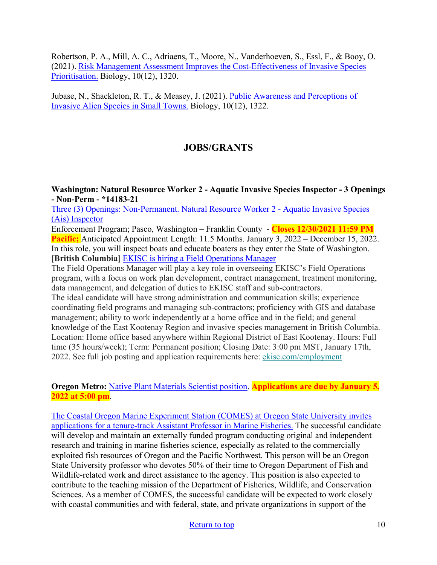Robertson, P. A., Mill, A. C., Adriaens, T., Moore, N., Vanderhoeven, S., Essl, F., & Booy, O. (2021). [Risk Management Assessment Improves the Cost-Effectiveness of Invasive Species](https://www.mdpi.com/2079-7737/10/12/1320/htm?utm_medium=email&utm_source=govdelivery)  [Prioritisation.](https://www.mdpi.com/2079-7737/10/12/1320/htm?utm_medium=email&utm_source=govdelivery) Biology, 10(12), 1320.

<span id="page-9-0"></span>Jubase, N., Shackleton, R. T., & Measey, J. (2021). [Public Awareness and Perceptions of](https://www.mdpi.com/2079-7737/10/12/1322?utm_medium=email&utm_source=govdelivery)  [Invasive Alien Species in Small Towns.](https://www.mdpi.com/2079-7737/10/12/1322?utm_medium=email&utm_source=govdelivery) Biology, 10(12), 1322.

# **JOBS/GRANTS**

**Washington: Natural Resource Worker 2 - Aquatic Invasive Species Inspector - 3 Openings - Non-Perm - \*14183-21**

[Three \(3\) Openings: Non-Permanent. Natural Resource Worker 2 - Aquatic Invasive Species](https://www.governmentjobs.com/careers/washington/jobs/3328482/natural-resource-worker-2-aquatic-invasive-species-inspector-3-openings-non)  [\(Ais\) Inspector](https://www.governmentjobs.com/careers/washington/jobs/3328482/natural-resource-worker-2-aquatic-invasive-species-inspector-3-openings-non)

Enforcement Program; Pasco, Washington – Franklin County - **Closes 12/30/2021 11:59 PM Pacific;** Anticipated Appointment Length: 11.5 Months. January 3, 2022 – December 15, 2022. In this role, you will inspect boats and educate boaters as they enter the State of Washington. **[British Columbia]** [EKISC is hiring a Field Operations Manager](https://www.ekisc.com/employment) 

The Field Operations Manager will play a key role in overseeing EKISC's Field Operations program, with a focus on work plan development, contract management, treatment monitoring, data management, and delegation of duties to EKISC staff and sub-contractors.

The ideal candidate will have strong administration and communication skills; experience coordinating field programs and managing sub-contractors; proficiency with GIS and database management; ability to work independently at a home office and in the field; and general knowledge of the East Kootenay Region and invasive species management in British Columbia. Location: Home office based anywhere within Regional District of East Kootenay. Hours: Full time (35 hours/week); Term: Permanent position; Closing Date: 3:00 pm MST, January 17th, 2022. See full job posting and application requirements here: [ekisc.com/employment](https://ekisc.us14.list-manage.com/track/click?u=038ca1f0a3e9f20497c495015&id=542f4202ad&e=5f88c7dd6a)

**Oregon Metro:** [Native Plant Materials Scientist position.](https://www.governmentjobs.com/careers/oregonmetro/jobs/3328406/native-plant-materials-scientist?page=2&pagetype=jobOpportunitiesJobs) **Applications are due by January 5, 2022 at 5:00 pm**.

[The Coastal Oregon Marine Experiment Station \(COMES\) at Oregon State University invites](https://jobs.oregonstate.edu/postings/110683)  [applications for a tenure-track Assistant Professor in Marine Fisheries.](https://jobs.oregonstate.edu/postings/110683) The successful candidate will develop and maintain an externally funded program conducting original and independent research and training in marine fisheries science, especially as related to the commercially exploited fish resources of Oregon and the Pacific Northwest. This person will be an Oregon State University professor who devotes 50% of their time to Oregon Department of Fish and Wildlife-related work and direct assistance to the agency. This position is also expected to contribute to the teaching mission of the Department of Fisheries, Wildlife, and Conservation Sciences. As a member of COMES, the successful candidate will be expected to work closely with coastal communities and with federal, state, and private organizations in support of the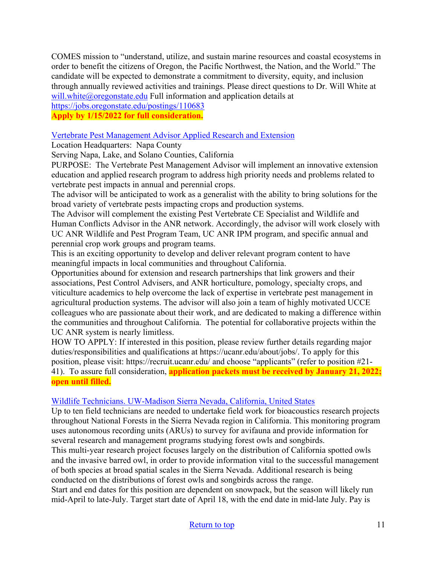COMES mission to "understand, utilize, and sustain marine resources and coastal ecosystems in order to benefit the citizens of Oregon, the Pacific Northwest, the Nation, and the World." The candidate will be expected to demonstrate a commitment to diversity, equity, and inclusion through annually reviewed activities and trainings. Please direct questions to Dr. Will White at [will.white@oregonstate.edu](mailto:will.white@oregonstate.edu) Full information and application details at

# <https://jobs.oregonstate.edu/postings/110683>

# **Apply by 1/15/2022 for full consideration.**

## [Vertebrate Pest Management Advisor Applied Research and Extension](https://careers.wildlife.org/jobs/view/vertebrate-pest-management-advisor/59971851/?utm_medium=email&utm_source=getresponse&utm_content=This+Week%27s+eWildlifer+%26+TWS+Talks&utm_campaign=)

Location Headquarters: Napa County

Serving Napa, Lake, and Solano Counties, California

PURPOSE: The Vertebrate Pest Management Advisor will implement an innovative extension education and applied research program to address high priority needs and problems related to vertebrate pest impacts in annual and perennial crops.

The advisor will be anticipated to work as a generalist with the ability to bring solutions for the broad variety of vertebrate pests impacting crops and production systems.

The Advisor will complement the existing Pest Vertebrate CE Specialist and Wildlife and Human Conflicts Advisor in the ANR network. Accordingly, the advisor will work closely with UC ANR Wildlife and Pest Program Team, UC ANR IPM program, and specific annual and perennial crop work groups and program teams.

This is an exciting opportunity to develop and deliver relevant program content to have meaningful impacts in local communities and throughout California.

Opportunities abound for extension and research partnerships that link growers and their associations, Pest Control Advisers, and ANR horticulture, pomology, specialty crops, and viticulture academics to help overcome the lack of expertise in vertebrate pest management in agricultural production systems. The advisor will also join a team of highly motivated UCCE colleagues who are passionate about their work, and are dedicated to making a difference within the communities and throughout California. The potential for collaborative projects within the UC ANR system is nearly limitless.

HOW TO APPLY: If interested in this position, please review further details regarding major duties/responsibilities and qualifications at https://ucanr.edu/about/jobs/. To apply for this position, please visit: https://recruit.ucanr.edu/ and choose "applicants" (refer to position #21- 41). To assure full consideration, **application packets must be received by January 21, 2022; open until filled.**

### [Wildlife Technicians. UW-Madison Sierra Nevada, California, United States](https://careers.wildlife.org/jobs/view/wildlife-technicians/60063903/?utm_medium=email&utm_source=getresponse&utm_content=This+Week%27s+eWildlifer+%26+TWS+Talks&utm_campaign=)

Up to ten field technicians are needed to undertake field work for bioacoustics research projects throughout National Forests in the Sierra Nevada region in California. This monitoring program uses autonomous recording units (ARUs) to survey for avifauna and provide information for several research and management programs studying forest owls and songbirds.

This multi-year research project focuses largely on the distribution of California spotted owls and the invasive barred owl, in order to provide information vital to the successful management of both species at broad spatial scales in the Sierra Nevada. Additional research is being conducted on the distributions of forest owls and songbirds across the range.

Start and end dates for this position are dependent on snowpack, but the season will likely run mid-April to late-July. Target start date of April 18, with the end date in mid-late July. Pay is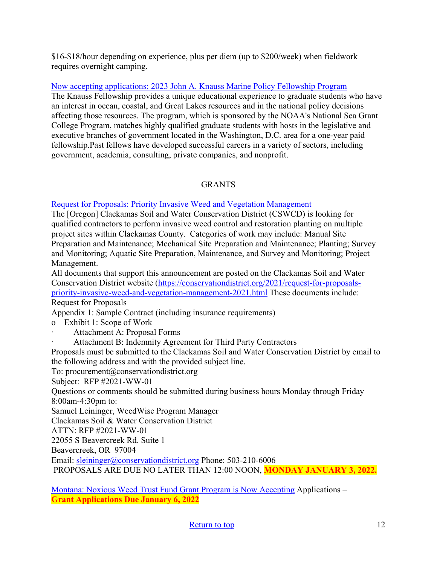\$16-\$18/hour depending on experience, plus per diem (up to \$200/week) when fieldwork requires overnight camping.

[Now accepting applications: 2023 John A. Knauss Marine Policy Fellowship Program](https://caseagrant.ucsd.edu/fellowships/john-a-knauss-marine-policy-fellowship)

The Knauss Fellowship provides a unique educational experience to graduate students who have an interest in ocean, coastal, and Great Lakes resources and in the national policy decisions affecting those resources. The program, which is sponsored by the NOAA's National Sea Grant College Program, matches highly qualified graduate students with hosts in the legislative and executive branches of government located in the Washington, D.C. area for a one-year paid fellowship.Past fellows have developed successful careers in a variety of sectors, including government, academia, consulting, private companies, and nonprofit.

# GRANTS

## [Request for Proposals: Priority Invasive Weed and Vegetation Management](https://conservationdistrict.org/2021/request-for-proposals-priority-invasive-weed-and-vegetation-management-2021.html)

The [Oregon] Clackamas Soil and Water Conservation District (CSWCD) is looking for qualified contractors to perform invasive weed control and restoration planting on multiple project sites within Clackamas County. Categories of work may include: Manual Site Preparation and Maintenance; Mechanical Site Preparation and Maintenance; Planting; Survey and Monitoring; Aquatic Site Preparation, Maintenance, and Survey and Monitoring; Project Management.

All documents that support this announcement are posted on the Clackamas Soil and Water Conservation District website [\(https://conservationdistrict.org/2021/request-for-proposals](https://conservationdistrict.org/2021/request-for-proposals-priority-invasive-weed-and-vegetation-management-2021.html)[priority-invasive-weed-and-vegetation-management-2021.html](https://conservationdistrict.org/2021/request-for-proposals-priority-invasive-weed-and-vegetation-management-2021.html) These documents include: Request for Proposals

Appendix 1: Sample Contract (including insurance requirements)

- o Exhibit 1: Scope of Work
- Attachment A: Proposal Forms
- Attachment B: Indemnity Agreement for Third Party Contractors

Proposals must be submitted to the Clackamas Soil and Water Conservation District by email to the following address and with the provided subject line.

To: procurement@conservationdistrict.org

Subject: RFP #2021-WW-01

Questions or comments should be submitted during business hours Monday through Friday 8:00am-4:30pm to:

Samuel Leininger, WeedWise Program Manager

Clackamas Soil & Water Conservation District

ATTN: RFP #2021-WW-01

22055 S Beavercreek Rd. Suite 1

Beavercreek, OR 97004

Email: [sleininger@conservationdistrict.org](mailto:sleininger@conservationdistrict.org) Phone: 503-210-6006

PROPOSALS ARE DUE NO LATER THAN 12:00 NOON, **MONDAY JANUARY 3, 2022.**

[Montana: Noxious Weed Trust Fund Grant Program is Now Accepting](https://agr.mt.gov/NoxiousWeedTrustFund) Applications – **Grant Applications Due January 6, 2022**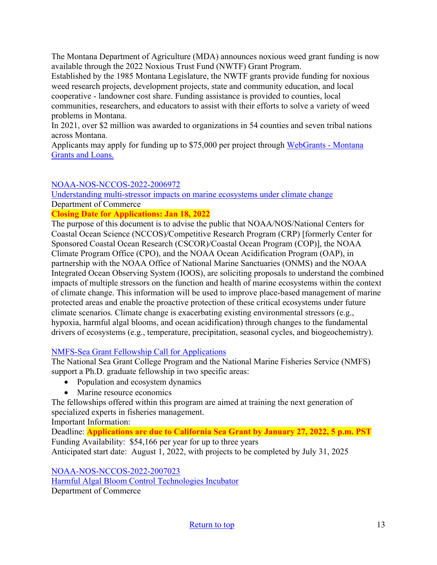The Montana Department of Agriculture (MDA) announces noxious weed grant funding is now available through the 2022 Noxious Trust Fund (NWTF) Grant Program.

Established by the 1985 Montana Legislature, the NWTF grants provide funding for noxious weed research projects, development projects, state and community education, and local cooperative - landowner cost share. Funding assistance is provided to counties, local communities, researchers, and educators to assist with their efforts to solve a variety of weed problems in Montana.

In 2021, over \$2 million was awarded to organizations in 54 counties and seven tribal nations across Montana.

Applicants may apply for funding up to \$75,000 per project through [WebGrants - Montana](https://agr.mt.gov/NoxiousWeedTrustFund)  [Grants and Loans.](https://agr.mt.gov/NoxiousWeedTrustFund) 

# [NOAA-NOS-NCCOS-2022-2006972](https://www.grants.gov/web/grants/view-opportunity.html?oppId=334906)

[Understanding multi-stressor impacts on marine ecosystems under climate change](https://www.grants.gov/web/grants/view-opportunity.html?oppId=334906) Department of Commerce

## **Closing Date for Applications: Jan 18, 2022**

The purpose of this document is to advise the public that NOAA/NOS/National Centers for Coastal Ocean Science (NCCOS)/Competitive Research Program (CRP) [formerly Center for Sponsored Coastal Ocean Research (CSCOR)/Coastal Ocean Program (COP)], the NOAA Climate Program Office (CPO), and the NOAA Ocean Acidification Program (OAP), in partnership with the NOAA Office of National Marine Sanctuaries (ONMS) and the NOAA Integrated Ocean Observing System (IOOS), are soliciting proposals to understand the combined impacts of multiple stressors on the function and health of marine ecosystems within the context of climate change. This information will be used to improve place-based management of marine protected areas and enable the proactive protection of these critical ecosystems under future climate scenarios. Climate change is exacerbating existing environmental stressors (e.g., hypoxia, harmful algal blooms, and ocean acidification) through changes to the fundamental drivers of ecosystems (e.g., temperature, precipitation, seasonal cycles, and biogeochemistry).

## [NMFS-Sea Grant Fellowship Call for Applications](https://caseagrant.ucsd.edu/fellowships/2022-nmfs-sea-grant-fellowship-in-population-and-ecosystem-dynamics-and-marine-resource)

The National Sea Grant College Program and the National Marine Fisheries Service (NMFS) support a Ph.D. graduate fellowship in two specific areas:

- Population and ecosystem dynamics
- Marine resource economics

The fellowships offered within this program are aimed at training the next generation of specialized experts in fisheries management.

Important Information:

Deadline: **Applications are due to California Sea Grant by January 27, 2022, 5 p.m. PST** Funding Availability: \$54,166 per year for up to three years

Anticipated start date: August 1, 2022, with projects to be completed by July 31, 2025

[NOAA-NOS-NCCOS-2022-2007023](https://www.grants.gov/web/grants/view-opportunity.html?oppId=335726)  [Harmful Algal Bloom Control Technologies Incubator](https://www.grants.gov/web/grants/view-opportunity.html?oppId=335726) Department of Commerce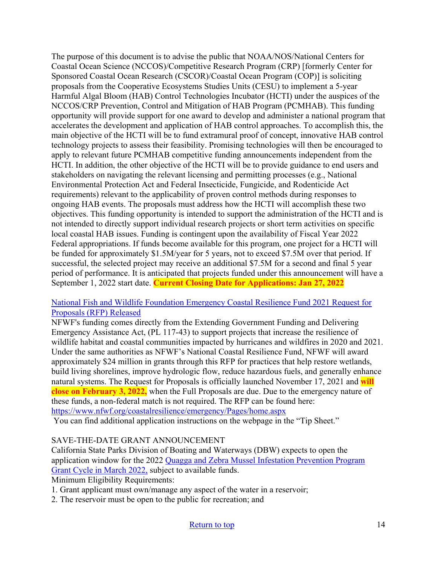The purpose of this document is to advise the public that NOAA/NOS/National Centers for Coastal Ocean Science (NCCOS)/Competitive Research Program (CRP) [formerly Center for Sponsored Coastal Ocean Research (CSCOR)/Coastal Ocean Program (COP)] is soliciting proposals from the Cooperative Ecosystems Studies Units (CESU) to implement a 5-year Harmful Algal Bloom (HAB) Control Technologies Incubator (HCTI) under the auspices of the NCCOS/CRP Prevention, Control and Mitigation of HAB Program (PCMHAB). This funding opportunity will provide support for one award to develop and administer a national program that accelerates the development and application of HAB control approaches. To accomplish this, the main objective of the HCTI will be to fund extramural proof of concept, innovative HAB control technology projects to assess their feasibility. Promising technologies will then be encouraged to apply to relevant future PCMHAB competitive funding announcements independent from the HCTI. In addition, the other objective of the HCTI will be to provide guidance to end users and stakeholders on navigating the relevant licensing and permitting processes (e.g., National Environmental Protection Act and Federal Insecticide, Fungicide, and Rodenticide Act requirements) relevant to the applicability of proven control methods during responses to ongoing HAB events. The proposals must address how the HCTI will accomplish these two objectives. This funding opportunity is intended to support the administration of the HCTI and is not intended to directly support individual research projects or short term activities on specific local coastal HAB issues. Funding is contingent upon the availability of Fiscal Year 2022 Federal appropriations. If funds become available for this program, one project for a HCTI will be funded for approximately \$1.5M/year for 5 years, not to exceed \$7.5M over that period. If successful, the selected project may receive an additional \$7.5M for a second and final 5 year period of performance. It is anticipated that projects funded under this announcement will have a September 1, 2022 start date. **Current Closing Date for Applications: Jan 27, 2022**

## [National Fish and Wildlife Foundation Emergency Coastal Resilience Fund 2021 Request for](https://www.google.com/url?q=https://lnks.gd/l/eyJhbGciOiJIUzI1NiJ9.eyJidWxsZXRpbl9saW5rX2lkIjoxMDEsInVyaSI6ImJwMjpjbGljayIsImJ1bGxldGluX2lkIjoiMjAyMTEyMDIuNDk2NDEwNjEiLCJ1cmwiOiJodHRwczovL3d3dy5uZndmLm9yZy9jb2FzdGFscmVzaWxpZW5jZS9lbWVyZ2VuY3kvUGFnZXMvaG9tZS5hc3B4P3V0bV9tZWRpdW09ZW1haWwmdXRtX3NvdXJjZT1nb3ZkZWxpdmVyeSJ9.Ooh_DqGNJHSaRhURSbRM2TjOI7V-NfWpTfeNYm-WOy8/s/725557401/br/122097868443-l&source=gmail&ust=1638577950803000&usg=AOvVaw3u5_6c16DJQSkVnUkW7_Ql)  [Proposals \(RFP\) Released](https://www.google.com/url?q=https://lnks.gd/l/eyJhbGciOiJIUzI1NiJ9.eyJidWxsZXRpbl9saW5rX2lkIjoxMDEsInVyaSI6ImJwMjpjbGljayIsImJ1bGxldGluX2lkIjoiMjAyMTEyMDIuNDk2NDEwNjEiLCJ1cmwiOiJodHRwczovL3d3dy5uZndmLm9yZy9jb2FzdGFscmVzaWxpZW5jZS9lbWVyZ2VuY3kvUGFnZXMvaG9tZS5hc3B4P3V0bV9tZWRpdW09ZW1haWwmdXRtX3NvdXJjZT1nb3ZkZWxpdmVyeSJ9.Ooh_DqGNJHSaRhURSbRM2TjOI7V-NfWpTfeNYm-WOy8/s/725557401/br/122097868443-l&source=gmail&ust=1638577950803000&usg=AOvVaw3u5_6c16DJQSkVnUkW7_Ql)

NFWF's funding comes directly from the Extending Government Funding and Delivering Emergency Assistance Act, (PL 117-43) to support projects that increase the resilience of wildlife habitat and coastal communities impacted by hurricanes and wildfires in 2020 and 2021. Under the same authorities as NFWF's National Coastal Resilience Fund, NFWF will award approximately \$24 million in grants through this RFP for practices that help restore wetlands, build living shorelines, improve hydrologic flow, reduce hazardous fuels, and generally enhance natural systems. The Request for Proposals is officially launched November 17, 2021 and **will close on February 3, 2022,** when the Full Proposals are due. Due to the emergency nature of these funds, a non-federal match is not required. The RFP can be found here: <https://www.nfwf.org/coastalresilience/emergency/Pages/home.aspx>

You can find additional application instructions on the webpage in the "Tip Sheet."

## SAVE-THE-DATE GRANT ANNOUNCEMENT

California State Parks Division of Boating and Waterways (DBW) expects to open the application window for the 2022 [Quagga and Zebra Mussel Infestation Prevention Program](http://dbw.parks.ca.gov/?page_id=28822)  [Grant Cycle in March 2022,](http://dbw.parks.ca.gov/?page_id=28822) subject to available funds.

Minimum Eligibility Requirements:

1. Grant applicant must own/manage any aspect of the water in a reservoir;

2. The reservoir must be open to the public for recreation; and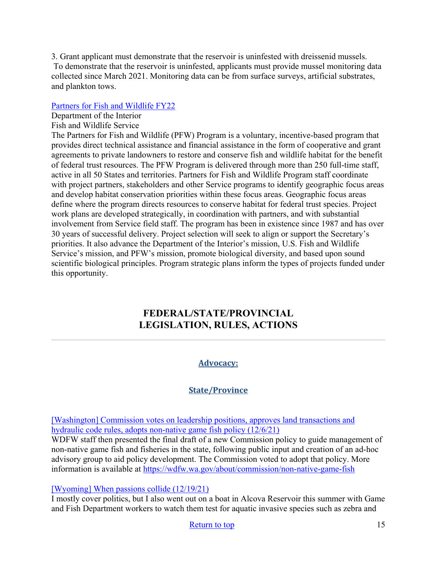3. Grant applicant must demonstrate that the reservoir is uninfested with dreissenid mussels. To demonstrate that the reservoir is uninfested, applicants must provide mussel monitoring data collected since March 2021. Monitoring data can be from surface surveys, artificial substrates, [and plankton tows.](https://www.grants.gov/web/grants/view-opportunity.html?oppId=336921) 

# [Partners for Fish and Wildlife FY22](https://www.grants.gov/web/grants/view-opportunity.html?oppId=336921)

Department of the Interior

# Fish and Wildlife Service

The Partners for Fish and Wildlife (PFW) Program is a voluntary, incentive-based program that provides direct technical assistance and financial assistance in the form of cooperative and grant agreements to private landowners to restore and conserve fish and wildlife habitat for the benefit of federal trust resources. The PFW Program is delivered through more than 250 full-time staff, active in all 50 States and territories. Partners for Fish and Wildlife Program staff coordinate with project partners, stakeholders and other Service programs to identify geographic focus areas and develop habitat conservation priorities within these focus areas. Geographic focus areas define where the program directs resources to conserve habitat for federal trust species. Project work plans are developed strategically, in coordination with partners, and with substantial involvement from Service field staff. The program has been in existence since 1987 and has over 30 years of successful delivery. Project selection will seek to align or support the Secretary's priorities. It also advance the Department of the Interior's mission, U.S. Fish and Wildlife Service's mission, and PFW's mission, promote biological diversity, and based upon sound scientific biological principles. Program strategic plans inform the types of projects funded under this opportunity.

# <span id="page-14-0"></span>**FEDERAL/STATE/PROVINCIAL LEGISLATION, RULES, ACTIONS**

# **Advocacy:**

# **State/Province**

[Washington] Commission votes on leadership positions, approves land transactions and [hydraulic code rules, adopts non-native game fish policy \(12/6/21\)](https://wdfw.wa.gov/news/commission-votes-leadership-positions-approves-land-transactions-and-hydraulic-code-rules)

WDFW staff then presented the final draft of a new Commission policy to guide management of non-native game fish and fisheries in the state, following public input and creation of an ad-hoc advisory group to aid policy development. The Commission voted to adopt that policy. More information is available at<https://wdfw.wa.gov/about/commission/non-native-game-fish>

## [\[Wyoming\] When passions collide \(12/19/21\)](https://trib.com/news/state-and-regional/govt-and-politics/307-politics-when-passions-collide/article_55f94614-e5f8-53d5-a4c8-1c3c7dbbc6d1.html)

I mostly cover politics, but I also went out on a boat in Alcova Reservoir this summer with Game and Fish Department workers to watch them test for aquatic invasive species such as zebra and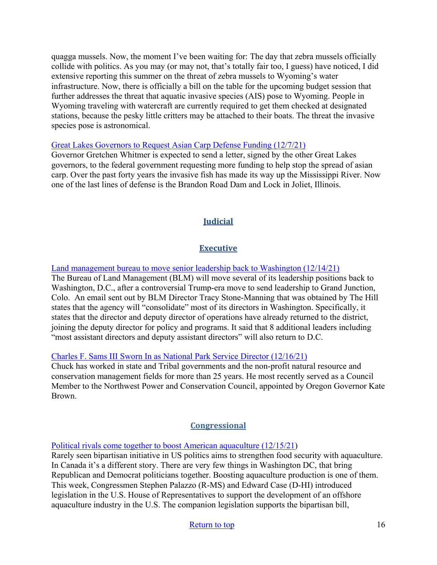quagga mussels. Now, the moment I've been waiting for: The day that zebra mussels officially collide with politics. As you may (or may not, that's totally fair too, I guess) have noticed, I did extensive reporting this summer on the threat of zebra mussels to Wyoming's water infrastructure. Now, there is officially a bill on the table for the upcoming budget session that further addresses the threat that aquatic invasive species (AIS) pose to Wyoming. People in Wyoming traveling with watercraft are currently required to get them checked at designated stations, because the pesky little critters may be attached to their boats. The threat the invasive species pose is astronomical.

### [Great Lakes Governors to Request Asian Carp Defense Funding \(12/7/21\)](https://www.9and10news.com/2021/12/07/great-lakes-governors-to-request-asian-carp-defense-funding/)

Governor Gretchen Whitmer is expected to send a letter, signed by the other Great Lakes governors, to the federal government requesting more funding to help stop the spread of asian carp. Over the past forty years the invasive fish has made its way up the Mississippi River. Now one of the last lines of defense is the Brandon Road Dam and Lock in Joliet, Illinois.

# **Judicial**

# **Executive**

[Land management bureau to move senior leadership back to Washington \(12/14/21\)](https://thehill.com/policy/energy-environment/585750-land-management-bureau-to-move-senior-leadership-back-to-washington?utm_source=&utm_medium=email&utm_campaign=45450)

The Bureau of Land Management (BLM) will move several of its leadership positions back to Washington, D.C., after a controversial Trump-era move to send leadership to Grand Junction, Colo. An email sent out by BLM Director Tracy Stone-Manning that was obtained by The Hill states that the agency will "consolidate" most of its directors in Washington. Specifically, it states that the director and deputy director of operations have already returned to the district, joining the deputy director for policy and programs. It said that 8 additional leaders including "most assistant directors and deputy assistant directors" will also return to D.C.

### [Charles F. Sams III Sworn In as National Park Service Director \(12/16/21\)](https://www.nps.gov/orgs/1207/director-chuck-sams-sworn-in.htm)

Chuck has worked in state and Tribal governments and the non-profit natural resource and conservation management fields for more than 25 years. He most recently served as a Council Member to the Northwest Power and Conservation Council, appointed by Oregon Governor Kate Brown.

## **Congressional**

[Political rivals come together to boost American aquaculture \(12/15/21\)](https://seawestnews.com/political-rivals-come-together-to-boost-american-aquaculture/)

Rarely seen bipartisan initiative in US politics aims to strengthen food security with aquaculture. In Canada it's a different story. There are very few things in Washington DC, that bring Republican and Democrat politicians together. Boosting aquaculture production is one of them. This week, Congressmen Stephen Palazzo (R-MS) and Edward Case (D-HI) introduced legislation in the U.S. House of Representatives to support the development of an offshore aquaculture industry in the U.S. The companion legislation supports the bipartisan bill,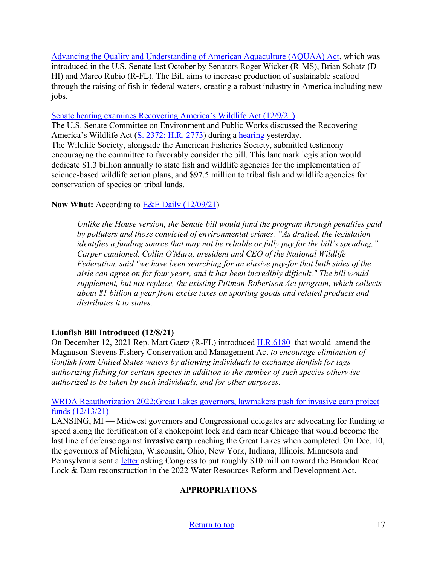[Advancing the Quality and Understanding of American Aquaculture \(AQUAA\) Act,](https://www.congress.gov/bill/117th-congress/senate-bill/3100?q=%7B%22search%22%3A%5B%22Advancing+the+Quality+and+Understanding+of+American+Aquaculture%22%2C%22Advancing%22%2C%22the%22%2C%22Quality%22%2C%22and%22%2C%22Understanding%22%2C%22of%22%2C%22American%22%2C%22Aquaculture%22%5D%7D&s=1&r=2) which was introduced in the U.S. Senate last October by Senators Roger Wicker (R-MS), Brian Schatz (D-HI) and Marco Rubio (R-FL). The Bill aims to increase production of sustainable seafood through the raising of fish in federal waters, creating a robust industry in America including new jobs.

[Senate hearing examines Recovering America's Wildlife Act \(12/9/21\)](https://wildlife.org/senate-hearing-examines-recovering-americas-wildlife-act/)

The U.S. Senate Committee on Environment and Public Works discussed the Recovering America's Wildlife Act [\(S. 2372; H.R. 2773\)](https://www.congress.gov/117/bills/s2372/BILLS-117s2372is.pdf) during a [hearing](https://www.epw.senate.gov/public/index.cfm/2021/12/a-legislative-hearing-to-examine-s-2372-the-recovering-america-s-wildlife-act) yesterday. The Wildlife Society, alongside the American Fisheries Society, submitted testimony encouraging the committee to favorably consider the bill. This landmark legislation would dedicate \$1.3 billion annually to state fish and wildlife agencies for the implementation of science-based wildlife action plans, and \$97.5 million to tribal fish and wildlife agencies for conservation of species on tribal lands.

# **Now What:** According to [E&E Daily \(12/09/21\)](https://subscriber.politicopro.com/article/eenews/2021/12/09/big-wildlife-bill-gains-support-with-caveats-284059)

*Unlike the House version, the Senate bill would fund the program through penalties paid by polluters and those convicted of environmental crimes. "As drafted, the legislation identifies a funding source that may not be reliable or fully pay for the bill's spending," Carper cautioned. Collin O'Mara, president and CEO of the National Wildlife Federation, said "we have been searching for an elusive pay-for that both sides of the aisle can agree on for four years, and it has been incredibly difficult." The bill would supplement, but not replace, the existing Pittman-Robertson Act program, which collects about \$1 billion a year from excise taxes on sporting goods and related products and distributes it to states.*

# **Lionfish Bill Introduced (12/8/21)**

On December 12, 2021 Rep. Matt Gaetz (R-FL) introduced [H.R.6180](https://www.congress.gov/bill/117th-congress/house-bill/6180?s=1&r=65) that would amend the Magnuson-Stevens Fishery Conservation and Management Act *to encourage elimination of lionfish from United States waters by allowing individuals to exchange lionfish for tags authorizing fishing for certain species in addition to the number of such species otherwise authorized to be taken by such individuals, and for other purposes.*

[WRDA Reauthorization 2022:Great Lakes governors, lawmakers push for invasive carp project](https://www.mlive.com/public-interest/2021/12/great-lakes-governors-lawmakers-push-for-invasive-carp-project-funds.html)  [funds \(12/13/21\)](https://www.mlive.com/public-interest/2021/12/great-lakes-governors-lawmakers-push-for-invasive-carp-project-funds.html) 

LANSING, MI — Midwest governors and Congressional delegates are advocating for funding to speed along the fortification of a chokepoint lock and dam near Chicago that would become the last line of defense against **invasive carp** reaching the Great Lakes when completed. On Dec. 10, the governors of Michigan, Wisconsin, Ohio, New York, Indiana, Illinois, Minnesota and Pennsylvania sent a [letter](https://content.govdelivery.com/attachments/MIEOG/2021/12/10/file_attachments/2019320/FINAL%20Brandon%20Road%20Letter%20-%20Great%20Lakes%20Govs%2012.10.pdf) asking Congress to put roughly \$10 million toward the Brandon Road Lock & Dam reconstruction in the 2022 Water Resources Reform and Development Act.

# **APPROPRIATIONS**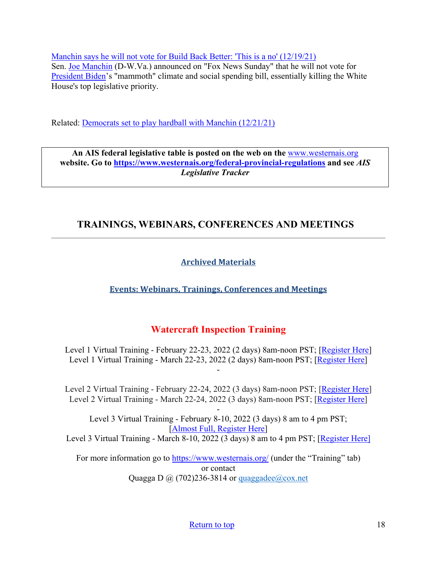[Manchin says he will not vote for Build Back Better: 'This is a no' \(12/19/21\)](https://thehill.com/homenews/senate/586450-manchin-says-he-will-not-vote-for-build-back-better-this-is-a-no)  Sen. [Joe Manchin](https://thehill.com/people/joe-manchin) (D-W.Va.) announced on "Fox News Sunday" that he will not vote for [President Biden'](https://thehill.com/people/joe-biden)s "mammoth" climate and social spending bill, essentially killing the White House's top legislative priority.

Related: [Democrats set to play hardball with Manchin \(12/21/21\)](https://thehill.com/homenews/senate/586686-democrats-set-to-play-hardball-with-manchin)

**An AIS federal legislative table is posted on the web on the** [www.westernais.org](http://www.westernais.org/) **website. Go to<https://www.westernais.org/federal-provincial-regulations> and see** *AIS Legislative Tracker*

# <span id="page-17-0"></span>**TRAININGS, WEBINARS, CONFERENCES AND MEETINGS**

# **Archived Materials**

**Events: Webinars, Trainings, Conferences and Meetings**

# **Watercraft Inspection Training**

Level 1 Virtual Training - February 22-23, 2022 (2 days) 8am-noon PST; [\[Register Here\]](https://us02web.zoom.us/meeting/register/tZYrfuCsqD4qHNE2BOiqfC0RIGgYVmJwGHlD) Level 1 Virtual Training - March 22-23, 2022 (2 days) 8am-noon PST; [\[Register Here\]](https://us02web.zoom.us/meeting/register/tZcpcO-hpz8jGNJ6Weax-__pDobzlIzmahMU)

-

Level 2 Virtual Training - February 22-24, 2022 (3 days) 8am-noon PST; [\[Register Here\]](https://us02web.zoom.us/meeting/register/tZYrfuCsqD4qHNE2BOiqfC0RIGgYVmJwGHlD) Level 2 Virtual Training - March 22-24, 2022 (3 days) 8am-noon PST; [\[Register Here\]](https://us02web.zoom.us/meeting/register/tZcpcO-hpz8jGNJ6Weax-__pDobzlIzmahMU)

- Level 3 Virtual Training - February 8-10, 2022 (3 days) 8 am to 4 pm PST; [\[Almost Full, Register Here\]](https://us02web.zoom.us/meeting/register/tZYqd-6oqzwiEtW6Wi8APl6yvFnI3kX8wASM) Level 3 Virtual Training - March 8-10, 2022 (3 days) 8 am to 4 pm PST; [\[Register Here\]](https://us02web.zoom.us/meeting/register/tZIqcOCspjgoGNZwELYrMT8J9RJzGDf94Aza)

For more information go to<https://www.westernais.org/> (under the "Training" tab) or contact Quagga D  $\omega$  (702)236-3814 or quaggadee $\omega$ cox.net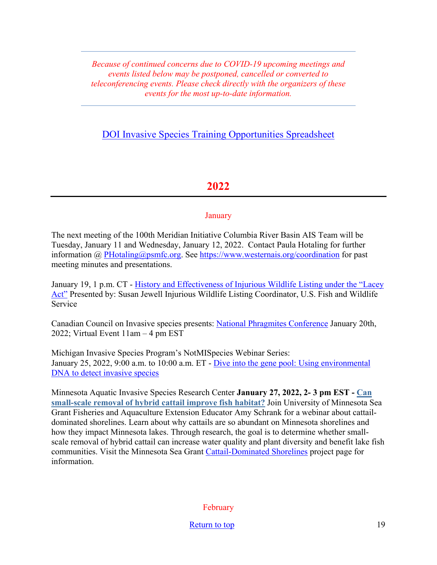*Because of continued concerns due to COVID-19 upcoming meetings and events listed below may be postponed, cancelled or converted to teleconferencing events. Please check directly with the organizers of these events for the most up-to-date information.* 

# [DOI Invasive Species Training Opportunities Spreadsheet](https://www.doi.gov/sites/doi.gov/files/doi-invasive-species-training-opportunities.pdf)

# **2022**

## January

The next meeting of the 100th Meridian Initiative Columbia River Basin AIS Team will be Tuesday, January 11 and Wednesday, January 12, 2022.Contact Paula Hotaling for further information @ [PHotaling@psmfc.org.](mailto:PHotaling@psmfc.org) See<https://www.westernais.org/coordination>for past meeting minutes and presentations.

January 19, 1 p.m. CT - [History and Effectiveness of Injurious Wildlife Listing under the "Lacey](https://us02web.zoom.us/webinar/register/WN_CWioD48QTUKCGxz1rZxryw?utm_medium=email&utm_source=govdelivery)  [Act"](https://us02web.zoom.us/webinar/register/WN_CWioD48QTUKCGxz1rZxryw?utm_medium=email&utm_source=govdelivery) Presented by: Susan Jewell Injurious Wildlife Listing Coordinator, U.S. Fish and Wildlife Service

Canadian Council on Invasive species presents: [National Phragmites Conference](https://canadainvasives.ca/registration-is-now-open-for-canadas-1st-national-phragmites-conference/) January 20th, 2022; Virtual Event 11am – 4 pm EST

Michigan Invasive Species Program's NotMISpecies Webinar Series: January 25, 2022, 9:00 a.m. to 10:00 a.m. ET - [Dive into the gene pool: Using environmental](https://register.gotowebinar.com/register/2578339792420598797?utm_medium=email&utm_source=govdelivery)  [DNA to detect invasive species](https://register.gotowebinar.com/register/2578339792420598797?utm_medium=email&utm_source=govdelivery)

Minnesota Aquatic Invasive Species Research Center **January 27, 2022, 2- 3 pm EST - [Can](https://lnks.gd/l/eyJhbGciOiJIUzI1NiJ9.eyJidWxsZXRpbl9saW5rX2lkIjoxMTUsInVyaSI6ImJwMjpjbGljayIsImJ1bGxldGluX2lkIjoiMjAyMTEyMjAuNTA1ODEzMTEiLCJ1cmwiOiJodHRwczovL3NlYWdyYW50LnVtbi5lZHUvZXZlbnRzL2Nhbi1zbWFsbC1zY2FsZS1yZW1vdmFsLWh5YnJpZC1jYXR0YWlsLWltcHJvdmUtZmlzaC1oYWJpdGF0P3V0bV9tZWRpdW09ZW1haWwmdXRtX3NvdXJjZT1nb3ZkZWxpdmVyeSJ9.ROihnwHFek3ZpKZlgDX5yA5arcpiAUsm3e40LiW3wdg/s/955051654/br/123415836861-l)  [small-scale removal of hybrid cattail improve fish habitat?](https://lnks.gd/l/eyJhbGciOiJIUzI1NiJ9.eyJidWxsZXRpbl9saW5rX2lkIjoxMTUsInVyaSI6ImJwMjpjbGljayIsImJ1bGxldGluX2lkIjoiMjAyMTEyMjAuNTA1ODEzMTEiLCJ1cmwiOiJodHRwczovL3NlYWdyYW50LnVtbi5lZHUvZXZlbnRzL2Nhbi1zbWFsbC1zY2FsZS1yZW1vdmFsLWh5YnJpZC1jYXR0YWlsLWltcHJvdmUtZmlzaC1oYWJpdGF0P3V0bV9tZWRpdW09ZW1haWwmdXRtX3NvdXJjZT1nb3ZkZWxpdmVyeSJ9.ROihnwHFek3ZpKZlgDX5yA5arcpiAUsm3e40LiW3wdg/s/955051654/br/123415836861-l)** Join University of Minnesota Sea Grant Fisheries and Aquaculture Extension Educator Amy Schrank for a webinar about cattaildominated shorelines. Learn about why cattails are so abundant on Minnesota shorelines and how they impact Minnesota lakes. Through research, the goal is to determine whether smallscale removal of hybrid cattail can increase water quality and plant diversity and benefit lake fish communities. Visit the Minnesota Sea Grant [Cattail-Dominated Shorelines](https://seagrant.umn.edu/programs/fish-food-and-aquaculture-program/cattail-dominated-shorelines) project page for information.

February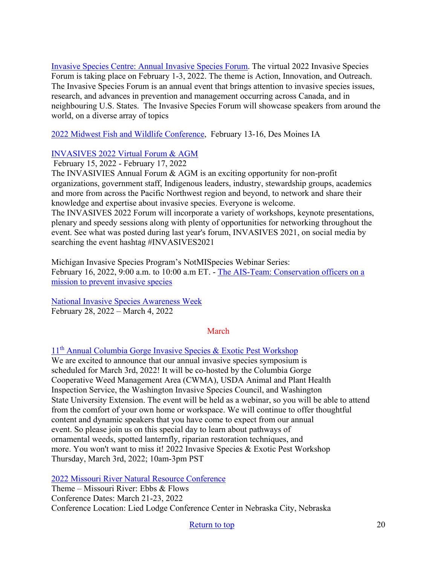[Invasive Species Centre: Annual Invasive Species Forum.](https://www.invasivespeciescentre.ca/events/ontario-invasive-species-forum/?utm_medium=email&utm_source=govdelivery) The virtual 2022 Invasive Species Forum is taking place on February 1-3, 2022. The theme is Action, Innovation, and Outreach. The Invasive Species Forum is an annual event that brings attention to invasive species issues, research, and advances in prevention and management occurring across Canada, and in neighbouring U.S. States. The Invasive Species Forum will showcase speakers from around the world, on a diverse array of topics

[2022 Midwest Fish and Wildlife Conference,](http://www.midwestfw.org/html/call-for-symposia.shtml) February 13-16, Des Moines IA

## [INVASIVES 2022 Virtual Forum & AGM](https://pheedloop.com/invasives2022/site/home/)

February 15, 2022 - February 17, 2022

The INVASIVIES Annual Forum & AGM is an exciting opportunity for non-profit organizations, government staff, Indigenous leaders, industry, stewardship groups, academics and more from across the Pacific Northwest region and beyond, to network and share their knowledge and expertise about invasive species. Everyone is welcome.

The INVASIVES 2022 Forum will incorporate a variety of workshops, keynote presentations, plenary and speedy sessions along with plenty of opportunities for networking throughout the event. See what was posted during last year's forum, INVASIVES 2021, on social media by searching the event hashtag #INVASIVES2021

Michigan Invasive Species Program's NotMISpecies Webinar Series: February 16, 2022, 9:00 a.m. to 10:00 a.m ET. - The AIS-Team: Conservation officers on a [mission to prevent invasive species](https://register.gotowebinar.com/register/4837962631337528333?utm_medium=email&utm_source=govdelivery)

[National Invasive Species Awareness Week](https://www.nisaw.org/?utm_medium=email&utm_source=govdelivery) February 28, 2022 – March 4, 2022

## March

11th [Annual Columbia Gorge Invasive Species & Exotic Pest Workshop](https://extension.oregonstate.edu/events/2022-invasive-species-exotic-pest-workshop-save-date)

We are excited to announce that our annual invasive species symposium is scheduled for March 3rd, 2022! It will be co-hosted by the Columbia Gorge Cooperative Weed Management Area (CWMA), USDA Animal and Plant Health Inspection Service, the Washington Invasive Species Council, and Washington State University Extension. The event will be held as a webinar, so you will be able to attend from the comfort of your own home or workspace. We will continue to offer thoughtful content and dynamic speakers that you have come to expect from our annual event. So please join us on this special day to learn about pathways of ornamental weeds, spotted lanternfly, riparian restoration techniques, and more. You won't want to miss it! 2022 Invasive Species & Exotic Pest Workshop Thursday, March 3rd, 2022; 10am-3pm PST

[2022 Missouri River Natural Resource Conference](https://mrnrc2022.com/)

Theme – Missouri River: Ebbs & Flows Conference Dates: March 21-23, 2022 Conference Location: Lied Lodge Conference Center in Nebraska City, Nebraska